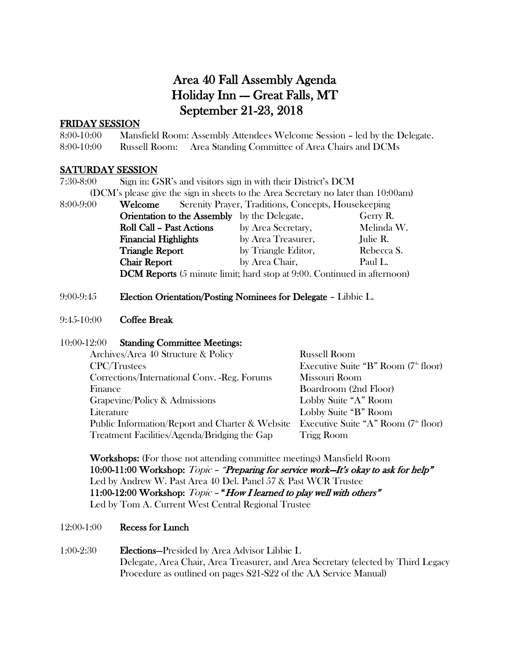#### Area 40 Fall Assembly Agenda Holiday Inn -- Great Falls, MT September 21-23, 2018

#### FRIDAY SESSION

8:00-10:00 Mansfield Room: Assembly Attendees Welcome Session – led by the Delegate. 8:00-10:00 Russell Room: Area Standing Committee of Area Chairs and DCMs

#### SATURDAY SESSION

| $7:30-8:00$                                                                        |                                                     | Sign in: GSR's and visitors sign in with their District's DCM                  |            |
|------------------------------------------------------------------------------------|-----------------------------------------------------|--------------------------------------------------------------------------------|------------|
| (DCM's please give the sign in sheets to the Area Secretary no later than 10:00am) |                                                     |                                                                                |            |
| 8:00-9:00                                                                          | Welcome                                             | Serenity Prayer, Traditions, Concepts, Housekeeping                            |            |
|                                                                                    | <b>Orientation to the Assembly</b> by the Delegate, |                                                                                | Gerry R.   |
|                                                                                    | <b>Roll Call - Past Actions</b>                     | by Area Secretary,                                                             | Melinda W. |
|                                                                                    | <b>Financial Highlights</b>                         | by Area Treasurer,                                                             | Julie R.   |
|                                                                                    | <b>Triangle Report</b>                              | by Triangle Editor,                                                            | Rebecca S. |
|                                                                                    | <b>Chair Report</b>                                 | by Area Chair,                                                                 | Paul L.    |
|                                                                                    |                                                     | <b>DCM Reports</b> (5 minute limit; hard stop at 9:00. Continued in afternoon) |            |

#### 9:00-9:45 Election Orientation/Posting Nominees for Delegate – Libbie L.

#### 9:45-10:00 Coffee Break

#### 10:00-12:00 Standing Committee Meetings:

| Archives/Area 40 Structure & Policy             | <b>Russell Room</b>                    |
|-------------------------------------------------|----------------------------------------|
| <b>CPC/Trustees</b>                             | Executive Suite "B" Room $(7th$ floor) |
| Corrections/International Conv. - Reg. Forums   | Missouri Room                          |
| Finance                                         | Boardroom (2nd Floor)                  |
| Grapevine/Policy & Admissions                   | Lobby Suite "A" Room                   |
| Literature                                      | Lobby Suite "B" Room                   |
| Public Information/Report and Charter & Website | Executive Suite "A" Room $(7th$ floor) |
| Treatment Facilities/Agenda/Bridging the Gap    | <b>Trigg Room</b>                      |
|                                                 |                                        |

Workshops: (For those not attending committee meetings) Mansfield Room 10:00-11:00 Workshop: Topic - "Preparing for service work-It's okay to ask for help" Led by Andrew W. Past Area 40 Del. Panel 57 & Past WCR Trustee 11:00-12:00 Workshop: Topic - "How I learned to play well with others" Led by Tom A. Current West Central Regional Trustee

#### 12:00-1:00 Recess for Lunch

#### 1:00-2:30 Elections—Presided by Area Advisor Libbie L Delegate, Area Chair, Area Treasurer, and Area Secretary (elected by Third Legacy Procedure as outlined on pages S21-S22 of the AA Service Manual)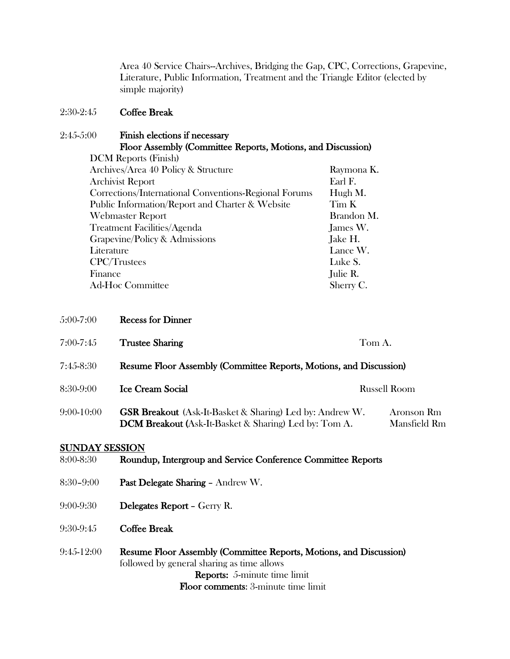Area 40 Service Chairs--Archives, Bridging the Gap, CPC, Corrections, Grapevine, Literature, Public Information, Treatment and the Triangle Editor (elected by simple majority)

#### 2:30-2:45 Coffee Break

2:45-5:00 Finish elections if necessary Floor Assembly (Committee Reports, Motions, and Discussion) DCM Reports (Finish)

| $\sim$ 0.000 $\mu$ 0.000 $\mu$ mmont                  |            |
|-------------------------------------------------------|------------|
| Archives/Area 40 Policy & Structure                   | Raymona K. |
| Archivist Report                                      | Earl F.    |
| Corrections/International Conventions-Regional Forums | Hugh M.    |
| Public Information/Report and Charter & Website       | Tim K      |
| <b>Webmaster Report</b>                               | Brandon M. |
| Treatment Facilities/Agenda                           | James W.   |
| Grapevine/Policy & Admissions                         | Jake H.    |
| Literature                                            | Lance W.   |
| <b>CPC/Trustees</b>                                   | Luke S.    |
| Finance                                               | Julie R.   |
| <b>Ad-Hoc Committee</b>                               | Sherry C.  |

| $5:00-7:00$ | <b>Recess for Dinner</b> |  |
|-------------|--------------------------|--|
|             |                          |  |

| 7:00-7:45  | <b>Trustee Sharing</b>                                                                                                              | Tom A. |                            |
|------------|-------------------------------------------------------------------------------------------------------------------------------------|--------|----------------------------|
| 7:45-8:30  | Resume Floor Assembly (Committee Reports, Motions, and Discussion)                                                                  |        |                            |
| 8:30-9:00  | <b>Ice Cream Social</b>                                                                                                             |        | <b>Russell Room</b>        |
| 9:00-10:00 | <b>GSR Breakout</b> (Ask-It-Basket & Sharing) Led by: Andrew W.<br><b>DCM Breakout (Ask-It-Basket &amp; Sharing) Led by: Tom A.</b> |        | Aronson Rm<br>Mansfield Rm |

#### SUNDAY SESSION

| 8:00-8:30     | Roundup, Intergroup and Service Conference Committee Reports                                                                                            |
|---------------|---------------------------------------------------------------------------------------------------------------------------------------------------------|
| $8:30 - 9:00$ | Past Delegate Sharing - Andrew W.                                                                                                                       |
| $9:00 - 9:30$ | <b>Delegates Report - Gerry R.</b>                                                                                                                      |
| $9:30-9:45$   | <b>Coffee Break</b>                                                                                                                                     |
| $9:45-12:00$  | Resume Floor Assembly (Committee Reports, Motions, and Discussion)<br>followed by general sharing as time allows<br><b>Reports:</b> 5-minute time limit |

Floor comments: 3-minute time limit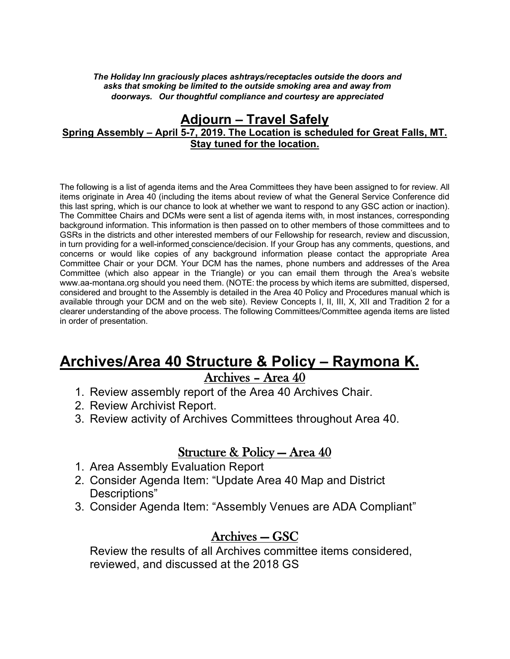*The Holiday Inn graciously places ashtrays/receptacles outside the doors and asks that smoking be limited to the outside smoking area and away from doorways. Our thoughtful compliance and courtesy are appreciated*

#### **Adjourn – Travel Safely Spring Assembly – April 5-7, 2019. The Location is scheduled for Great Falls, MT. Stay tuned for the location.**

The following is a list of agenda items and the Area Committees they have been assigned to for review. All items originate in Area 40 (including the items about review of what the General Service Conference did this last spring, which is our chance to look at whether we want to respond to any GSC action or inaction). The Committee Chairs and DCMs were sent a list of agenda items with, in most instances, corresponding background information. This information is then passed on to other members of those committees and to GSRs in the districts and other interested members of our Fellowship for research, review and discussion, in turn providing for a well-informed conscience/decision. If your Group has any comments, questions, and concerns or would like copies of any background information please contact the appropriate Area Committee Chair or your DCM. Your DCM has the names, phone numbers and addresses of the Area Committee (which also appear in the Triangle) or you can email them through the Area's website www.aa-montana.org should you need them. (NOTE: the process by which items are submitted, dispersed, considered and brought to the Assembly is detailed in the Area 40 Policy and Procedures manual which is available through your DCM and on the web site). Review Concepts I, II, III, X, XII and Tradition 2 for a clearer understanding of the above process. The following Committees/Committee agenda items are listed in order of presentation.

### **Archives/Area 40 Structure & Policy – Raymona K.** Archives – Area 40

- 1. Review assembly report of the Area 40 Archives Chair.
- 2. Review Archivist Report.
- 3. Review activity of Archives Committees throughout Area 40.

#### Structure & Policy — Area 40

- 1. Area Assembly Evaluation Report
- 2. Consider Agenda Item: "Update Area 40 Map and District Descriptions"
- 3. Consider Agenda Item: "Assembly Venues are ADA Compliant"

# Archives — GSC

Review the results of all Archives committee items considered, reviewed, and discussed at the 2018 GS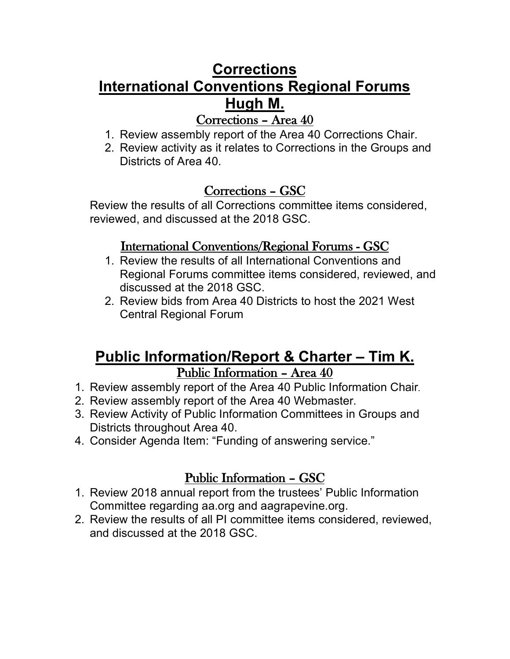### **Corrections International Conventions Regional Forums Hugh M.** Corrections – Area 40

- 1. Review assembly report of the Area 40 Corrections Chair.
- 2. Review activity as it relates to Corrections in the Groups and Districts of Area 40.

### Corrections – GSC

Review the results of all Corrections committee items considered, reviewed, and discussed at the 2018 GSC.

#### International Conventions/Regional Forums - GSC

- 1. Review the results of all International Conventions and Regional Forums committee items considered, reviewed, and discussed at the 2018 GSC.
- 2. Review bids from Area 40 Districts to host the 2021 West Central Regional Forum

### **Public Information/Report & Charter – Tim K.** Public Information – Area 40

- 1. Review assembly report of the Area 40 Public Information Chair.
- 2. Review assembly report of the Area 40 Webmaster.
- 3. Review Activity of Public Information Committees in Groups and Districts throughout Area 40.
- 4. Consider Agenda Item: "Funding of answering service."

### Public Information – GSC

- 1. Review 2018 annual report from the trustees' Public Information Committee regarding aa.org and aagrapevine.org.
- 2. Review the results of all PI committee items considered, reviewed, and discussed at the 2018 GSC.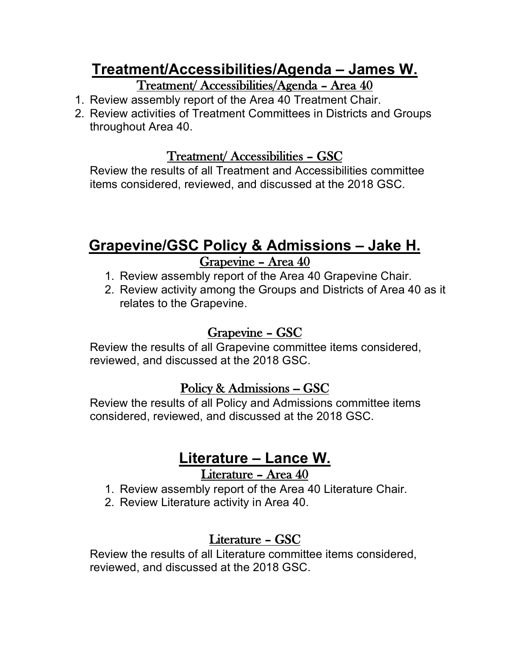## **Treatment/Accessibilities/Agenda – James W.**  Treatment/ Accessibilities/Agenda – Area 40

- 1. Review assembly report of the Area 40 Treatment Chair.
- 2. Review activities of Treatment Committees in Districts and Groups throughout Area 40.

#### Treatment/ Accessibilities – GSC

Review the results of all Treatment and Accessibilities committee items considered, reviewed, and discussed at the 2018 GSC.

# **Grapevine/GSC Policy & Admissions – Jake H.** Grapevine – Area 40

- 1. Review assembly report of the Area 40 Grapevine Chair.
- 2. Review activity among the Groups and Districts of Area 40 as it relates to the Grapevine.

#### Grapevine – GSC

Review the results of all Grapevine committee items considered, reviewed, and discussed at the 2018 GSC.

#### Policy & Admissions -- GSC

Review the results of all Policy and Admissions committee items considered, reviewed, and discussed at the 2018 GSC.

### **Literature – Lance W.** Literature – Area 40

- 1. Review assembly report of the Area 40 Literature Chair.
- 2. Review Literature activity in Area 40.

### Literature – GSC

Review the results of all Literature committee items considered, reviewed, and discussed at the 2018 GSC.